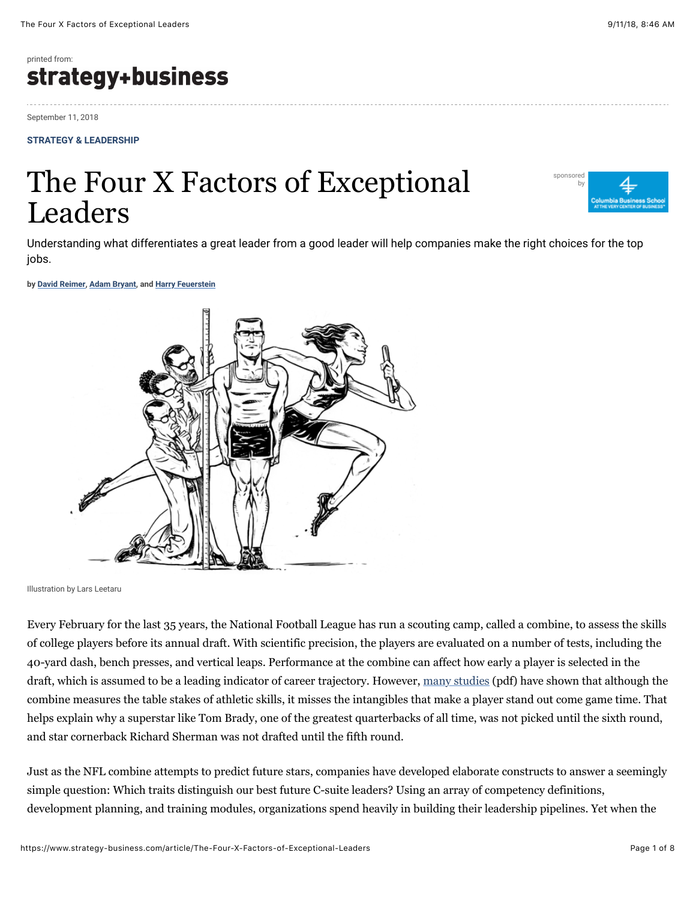### printed from: strategy+business

September 11, 2018

#### **[STRATEGY & LEADERSHIP](https://www.strategy-business.com/strategy_and_leadership)**

# The Four X Factors of Exceptional Leaders



Understanding what differentiates a great leader from a good leader will help companies make the right choices for the top jobs.

**by [David Reimer](https://www.strategy-business.com/author?author=David+Reimer), [Adam Bryant,](https://www.strategy-business.com/author?author=Adam+Bryant) and [Harry Feuerstein](https://www.strategy-business.com/author?author=Harry+Feuerstein)**



Illustration by Lars Leetaru

Every February for the last 35 years, the National Football League has run a scouting camp, called a combine, to assess the skills of college players before its annual draft. With scientific precision, the players are evaluated on a number of tests, including the 40-yard dash, bench presses, and vertical leaps. Performance at the combine can affect how early a player is selected in the draft, which is assumed to be a leading indicator of career trajectory. However, [many studies](https://www.stat.berkeley.edu/~aldous/Research/Ugrad/Paul_Park.pdf) (pdf) have shown that although the combine measures the table stakes of athletic skills, it misses the intangibles that make a player stand out come game time. That helps explain why a superstar like Tom Brady, one of the greatest quarterbacks of all time, was not picked until the sixth round, and star cornerback Richard Sherman was not drafted until the fifth round.

Just as the NFL combine attempts to predict future stars, companies have developed elaborate constructs to answer a seemingly simple question: Which traits distinguish our best future C-suite leaders? Using an array of competency definitions, development planning, and training modules, organizations spend heavily in building their leadership pipelines. Yet when the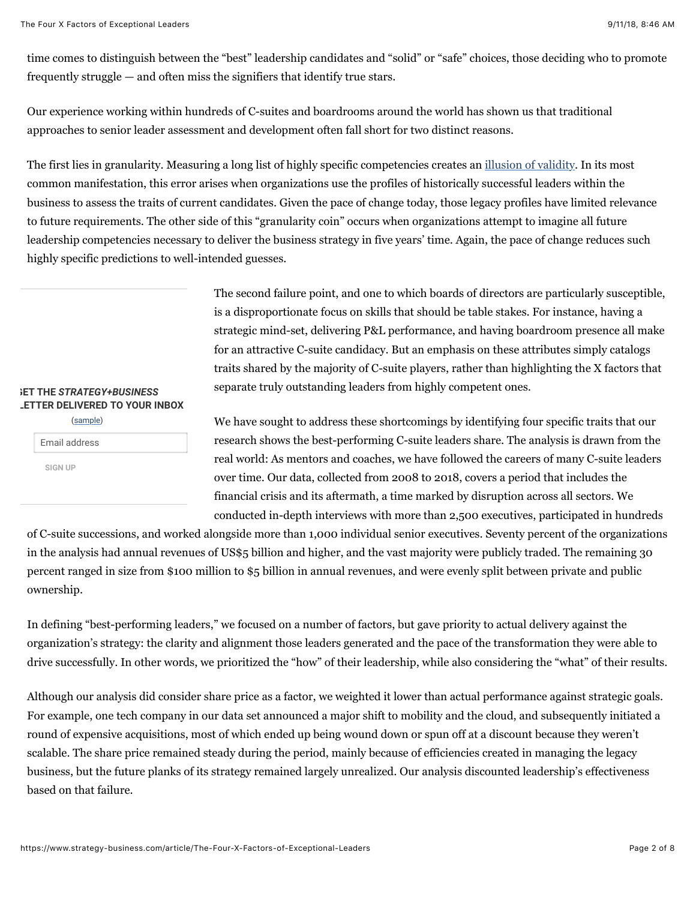time comes to distinguish between the "best" leadership candidates and "solid" or "safe" choices, those deciding who to promote frequently struggle — and often miss the signifiers that identify true stars.

Our experience working within hundreds of C-suites and boardrooms around the world has shown us that traditional approaches to senior leader assessment and development often fall short for two distinct reasons.

The first lies in granularity. Measuring a long list of highly specific competencies creates an [illusion of validity.](https://www.nytimes.com/2011/10/23/magazine/dont-blink-the-hazards-of-confidence.html) In its most common manifestation, this error arises when organizations use the profiles of historically successful leaders within the business to assess the traits of current candidates. Given the pace of change today, those legacy profiles have limited relevance to future requirements. The other side of this "granularity coin" occurs when organizations attempt to imagine all future leadership competencies necessary to deliver the business strategy in five years' time. Again, the pace of change reduces such highly specific predictions to well-intended guesses.

> The second failure point, and one to which boards of directors are particularly susceptible, is a disproportionate focus on skills that should be table stakes. For instance, having a strategic mind-set, delivering P&L performance, and having boardroom presence all make for an attractive C-suite candidacy. But an emphasis on these attributes simply catalogs traits shared by the majority of C-suite players, rather than highlighting the X factors that separate truly outstanding leaders from highly competent ones.

#### **GET THE** *STRATEGY+BUSINESS* **LETTER DELIVERED TO YOUR INBOX**

| (sample)       |  |
|----------------|--|
| Email address  |  |
| <b>SIGN UP</b> |  |

We have sought to address these shortcomings by identifying four specific traits that our research shows the best-performing C-suite leaders share. The analysis is drawn from the real world: As mentors and coaches, we have followed the careers of many C-suite leaders over time. Our data, collected from 2008 to 2018, covers a period that includes the financial crisis and its aftermath, a time marked by disruption across all sectors. We conducted in-depth interviews with more than 2,500 executives, participated in hundreds

of C-suite successions, and worked alongside more than 1,000 individual senior executives. Seventy percent of the organizations in the analysis had annual revenues of US\$5 billion and higher, and the vast majority were publicly traded. The remaining 30 percent ranged in size from \$100 million to \$5 billion in annual revenues, and were evenly split between private and public ownership.

In defining "best-performing leaders," we focused on a number of factors, but gave priority to actual delivery against the organization's strategy: the clarity and alignment those leaders generated and the pace of the transformation they were able to drive successfully. In other words, we prioritized the "how" of their leadership, while also considering the "what" of their results.

Although our analysis did consider share price as a factor, we weighted it lower than actual performance against strategic goals. For example, one tech company in our data set announced a major shift to mobility and the cloud, and subsequently initiated a round of expensive acquisitions, most of which ended up being wound down or spun off at a discount because they weren't scalable. The share price remained steady during the period, mainly because of efficiencies created in managing the legacy business, but the future planks of its strategy remained largely unrealized. Our analysis discounted leadership's effectiveness based on that failure.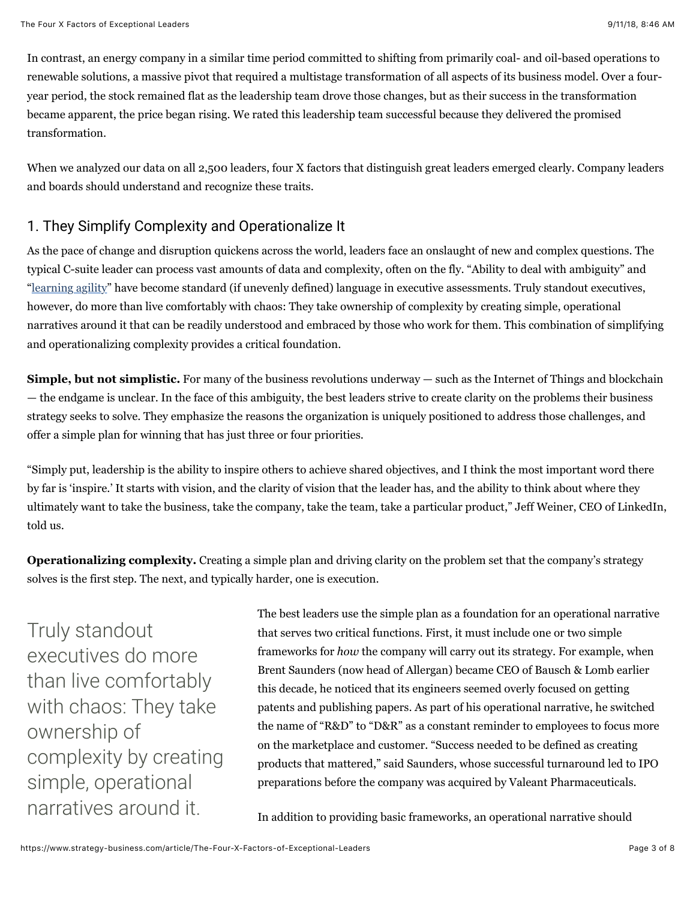In contrast, an energy company in a similar time period committed to shifting from primarily coal- and oil-based operations to renewable solutions, a massive pivot that required a multistage transformation of all aspects of its business model. Over a fouryear period, the stock remained flat as the leadership team drove those changes, but as their success in the transformation became apparent, the price began rising. We rated this leadership team successful because they delivered the promised transformation.

When we analyzed our data on all 2,500 leaders, four X factors that distinguish great leaders emerged clearly. Company leaders and boards should understand and recognize these traits.

## 1. They Simplify Complexity and Operationalize It

As the pace of change and disruption quickens across the world, leaders face an onslaught of new and complex questions. The typical C-suite leader can process vast amounts of data and complexity, often on the fly. "Ability to deal with ambiguity" and "[learning agility](https://www.strategy-business.com/blog/A-Practical-Plan-to-Become-a-More-Agile-Learner)" have become standard (if unevenly defined) language in executive assessments. Truly standout executives, however, do more than live comfortably with chaos: They take ownership of complexity by creating simple, operational narratives around it that can be readily understood and embraced by those who work for them. This combination of simplifying and operationalizing complexity provides a critical foundation.

**Simple, but not simplistic.** For many of the business revolutions underway — such as the Internet of Things and blockchain — the endgame is unclear. In the face of this ambiguity, the best leaders strive to create clarity on the problems their business strategy seeks to solve. They emphasize the reasons the organization is uniquely positioned to address those challenges, and offer a simple plan for winning that has just three or four priorities.

"Simply put, leadership is the ability to inspire others to achieve shared objectives, and I think the most important word there by far is 'inspire.' It starts with vision, and the clarity of vision that the leader has, and the ability to think about where they ultimately want to take the business, take the company, take the team, take a particular product," Jeff Weiner, CEO of LinkedIn, told us.

**Operationalizing complexity.** Creating a simple plan and driving clarity on the problem set that the company's strategy solves is the first step. The next, and typically harder, one is execution.

Truly standout executives do more than live comfortably with chaos: They take ownership of complexity by creating simple, operational narratives around it.

The best leaders use the simple plan as a foundation for an operational narrative that serves two critical functions. First, it must include one or two simple frameworks for *how* the company will carry out its strategy. For example, when Brent Saunders (now head of Allergan) became CEO of Bausch & Lomb earlier this decade, he noticed that its engineers seemed overly focused on getting patents and publishing papers. As part of his operational narrative, he switched the name of "R&D" to "D&R" as a constant reminder to employees to focus more on the marketplace and customer. "Success needed to be defined as creating products that mattered," said Saunders, whose successful turnaround led to IPO preparations before the company was acquired by Valeant Pharmaceuticals.

In addition to providing basic frameworks, an operational narrative should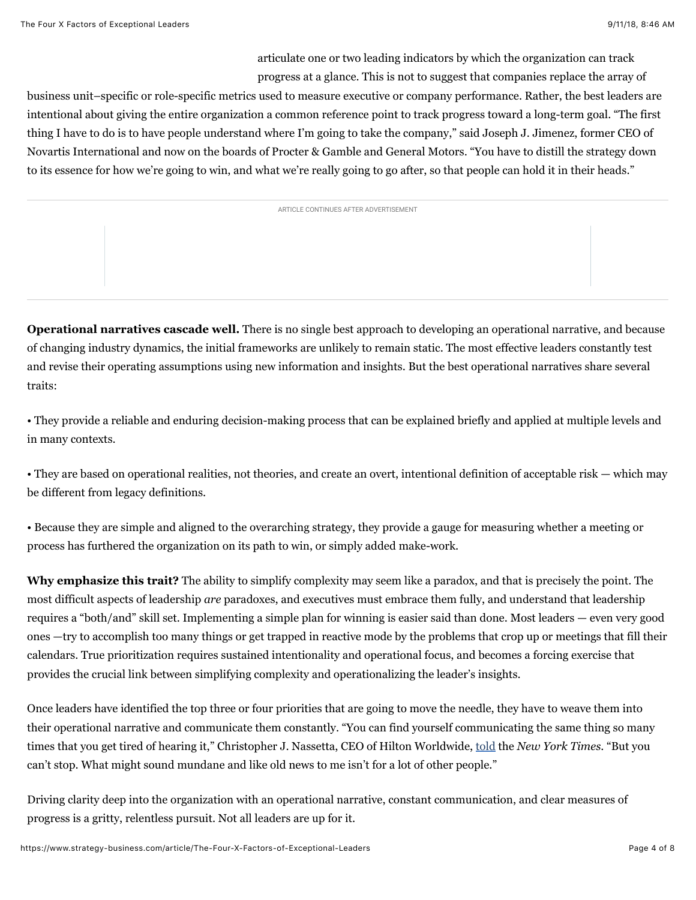articulate one or two leading indicators by which the organization can track progress at a glance. This is not to suggest that companies replace the array of

business unit–specific or role-specific metrics used to measure executive or company performance. Rather, the best leaders are intentional about giving the entire organization a common reference point to track progress toward a long-term goal. "The first thing I have to do is to have people understand where I'm going to take the company," said Joseph J. Jimenez, former CEO of Novartis International and now on the boards of Procter & Gamble and General Motors. "You have to distill the strategy down to its essence for how we're going to win, and what we're really going to go after, so that people can hold it in their heads."

ARTICLE CONTINUES AFTER ADVERTISEMENT

**Operational narratives cascade well.** There is no single best approach to developing an operational narrative, and because of changing industry dynamics, the initial frameworks are unlikely to remain static. The most effective leaders constantly test and revise their operating assumptions using new information and insights. But the best operational narratives share several traits:

• They provide a reliable and enduring decision-making process that can be explained briefly and applied at multiple levels and in many contexts.

• They are based on operational realities, not theories, and create an overt, intentional definition of acceptable risk — which may be different from legacy definitions.

• Because they are simple and aligned to the overarching strategy, they provide a gauge for measuring whether a meeting or process has furthered the organization on its path to win, or simply added make-work.

**Why emphasize this trait?** The ability to simplify complexity may seem like a paradox, and that is precisely the point. The most difficult aspects of leadership *are* paradoxes, and executives must embrace them fully, and understand that leadership requires a "both/and" skill set. Implementing a simple plan for winning is easier said than done. Most leaders — even very good ones —try to accomplish too many things or get trapped in reactive mode by the problems that crop up or meetings that fill their calendars. True prioritization requires sustained intentionality and operational focus, and becomes a forcing exercise that provides the crucial link between simplifying complexity and operationalizing the leader's insights.

Once leaders have identified the top three or four priorities that are going to move the needle, they have to weave them into their operational narrative and communicate them constantly. "You can find yourself communicating the same thing so many times that you get tired of hearing it," Christopher J. Nassetta, CEO of Hilton Worldwide, [told](https://www.nytimes.com/2012/10/14/business/christopher-nassetta-of-hilton-on-focusing-its-values.html) the *New York Times*. "But you can't stop. What might sound mundane and like old news to me isn't for a lot of other people."

Driving clarity deep into the organization with an operational narrative, constant communication, and clear measures of progress is a gritty, relentless pursuit. Not all leaders are up for it.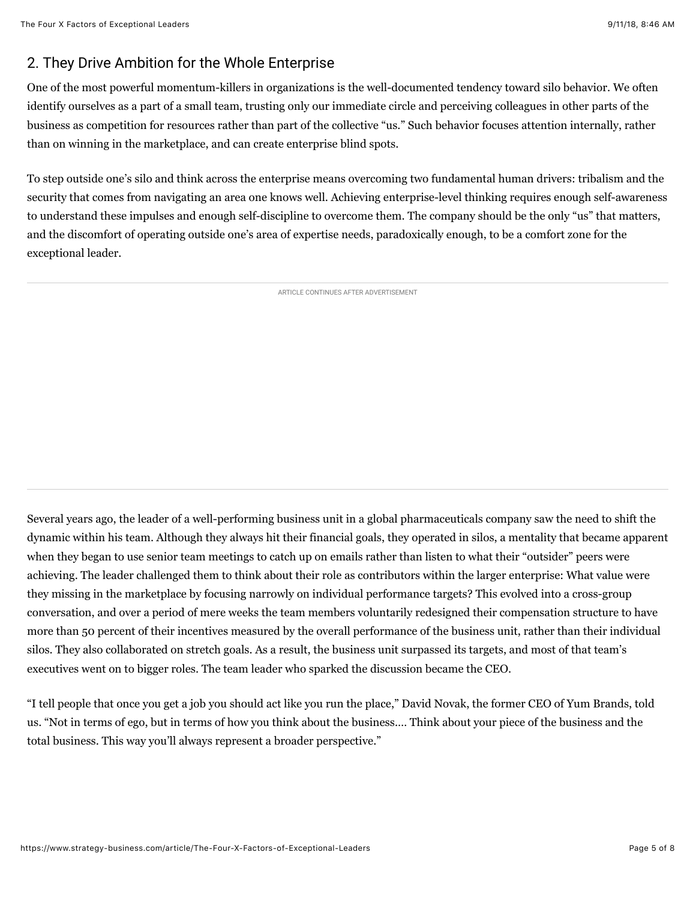## 2. They Drive Ambition for the Whole Enterprise

One of the most powerful momentum-killers in organizations is the well-documented tendency toward silo behavior. We often identify ourselves as a part of a small team, trusting only our immediate circle and perceiving colleagues in other parts of the business as competition for resources rather than part of the collective "us." Such behavior focuses attention internally, rather than on winning in the marketplace, and can create enterprise blind spots.

To step outside one's silo and think across the enterprise means overcoming two fundamental human drivers: tribalism and the security that comes from navigating an area one knows well. Achieving enterprise-level thinking requires enough self-awareness to understand these impulses and enough self-discipline to overcome them. The company should be the only "us" that matters, and the discomfort of operating outside one's area of expertise needs, paradoxically enough, to be a comfort zone for the exceptional leader.

ARTICLE CONTINUES AFTER ADVERTISEMENT

Several years ago, the leader of a well-performing business unit in a global pharmaceuticals company saw the need to shift the dynamic within his team. Although they always hit their financial goals, they operated in silos, a mentality that became apparent when they began to use senior team meetings to catch up on emails rather than listen to what their "outsider" peers were achieving. The leader challenged them to think about their role as contributors within the larger enterprise: What value were they missing in the marketplace by focusing narrowly on individual performance targets? This evolved into a cross-group conversation, and over a period of mere weeks the team members voluntarily redesigned their compensation structure to have more than 50 percent of their incentives measured by the overall performance of the business unit, rather than their individual silos. They also collaborated on stretch goals. As a result, the business unit surpassed its targets, and most of that team's executives went on to bigger roles. The team leader who sparked the discussion became the CEO.

"I tell people that once you get a job you should act like you run the place," David Novak, the former CEO of Yum Brands, told us. "Not in terms of ego, but in terms of how you think about the business.… Think about your piece of the business and the total business. This way you'll always represent a broader perspective."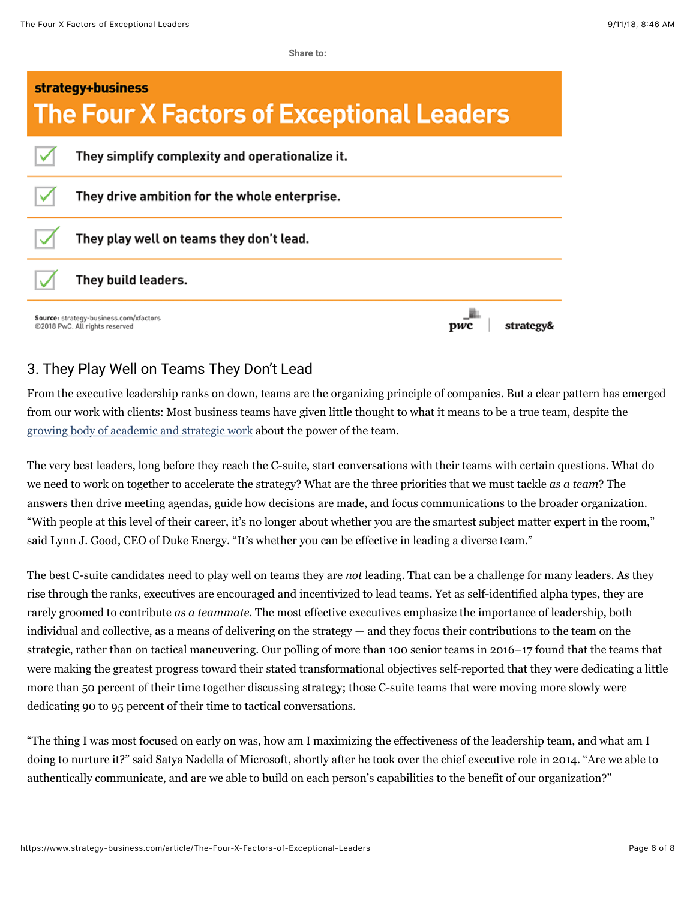Share to:



#### 3. They Play Well on Teams They Don't Lead

From the executive leadership ranks on down, teams are the organizing principle of companies. But a clear pattern has emerged from our work with clients: Most business teams have given little thought to what it means to be a true team, despite the [growing body of academic and strategic work](https://www.strategy-business.com/blog/How-to-Unlock-the-Full-Potential-of-Diverse-Teams) about the power of the team.

The very best leaders, long before they reach the C-suite, start conversations with their teams with certain questions. What do we need to work on together to accelerate the strategy? What are the three priorities that we must tackle *as a team*? The answers then drive meeting agendas, guide how decisions are made, and focus communications to the broader organization. "With people at this level of their career, it's no longer about whether you are the smartest subject matter expert in the room," said Lynn J. Good, CEO of Duke Energy. "It's whether you can be effective in leading a diverse team."

The best C-suite candidates need to play well on teams they are *not* leading. That can be a challenge for many leaders. As they rise through the ranks, executives are encouraged and incentivized to lead teams. Yet as self-identified alpha types, they are rarely groomed to contribute *as a teammate*. The most effective executives emphasize the importance of leadership, both individual and collective, as a means of delivering on the strategy — and they focus their contributions to the team on the strategic, rather than on tactical maneuvering. Our polling of more than 100 senior teams in 2016–17 found that the teams that were making the greatest progress toward their stated transformational objectives self-reported that they were dedicating a little more than 50 percent of their time together discussing strategy; those C-suite teams that were moving more slowly were dedicating 90 to 95 percent of their time to tactical conversations.

"The thing I was most focused on early on was, how am I maximizing the effectiveness of the leadership team, and what am I doing to nurture it?" said Satya Nadella of Microsoft, shortly after he took over the chief executive role in 2014. "Are we able to authentically communicate, and are we able to build on each person's capabilities to the benefit of our organization?"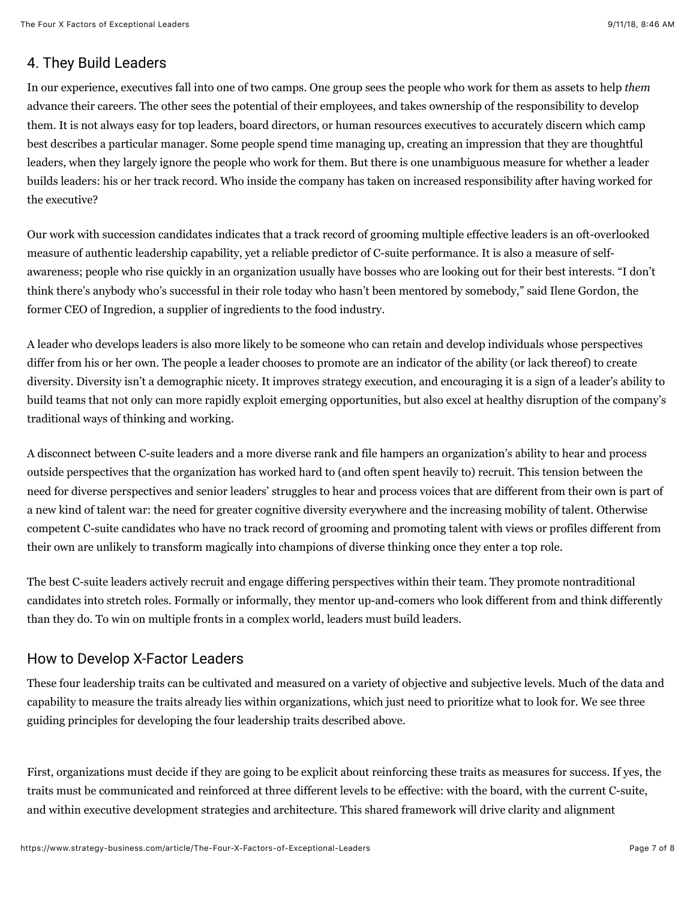## 4. They Build Leaders

In our experience, executives fall into one of two camps. One group sees the people who work for them as assets to help *them* advance their careers. The other sees the potential of their employees, and takes ownership of the responsibility to develop them. It is not always easy for top leaders, board directors, or human resources executives to accurately discern which camp best describes a particular manager. Some people spend time managing up, creating an impression that they are thoughtful leaders, when they largely ignore the people who work for them. But there is one unambiguous measure for whether a leader builds leaders: his or her track record. Who inside the company has taken on increased responsibility after having worked for the executive?

Our work with succession candidates indicates that a track record of grooming multiple effective leaders is an oft-overlooked measure of authentic leadership capability, yet a reliable predictor of C-suite performance. It is also a measure of selfawareness; people who rise quickly in an organization usually have bosses who are looking out for their best interests. "I don't think there's anybody who's successful in their role today who hasn't been mentored by somebody," said Ilene Gordon, the former CEO of Ingredion, a supplier of ingredients to the food industry.

A leader who develops leaders is also more likely to be someone who can retain and develop individuals whose perspectives differ from his or her own. The people a leader chooses to promote are an indicator of the ability (or lack thereof) to create diversity. Diversity isn't a demographic nicety. It improves strategy execution, and encouraging it is a sign of a leader's ability to build teams that not only can more rapidly exploit emerging opportunities, but also excel at healthy disruption of the company's traditional ways of thinking and working.

A disconnect between C-suite leaders and a more diverse rank and file hampers an organization's ability to hear and process outside perspectives that the organization has worked hard to (and often spent heavily to) recruit. This tension between the need for diverse perspectives and senior leaders' struggles to hear and process voices that are different from their own is part of a new kind of talent war: the need for greater cognitive diversity everywhere and the increasing mobility of talent. Otherwise competent C-suite candidates who have no track record of grooming and promoting talent with views or profiles different from their own are unlikely to transform magically into champions of diverse thinking once they enter a top role.

The best C-suite leaders actively recruit and engage differing perspectives within their team. They promote nontraditional candidates into stretch roles. Formally or informally, they mentor up-and-comers who look different from and think differently than they do. To win on multiple fronts in a complex world, leaders must build leaders.

### How to Develop X-Factor Leaders

These four leadership traits can be cultivated and measured on a variety of objective and subjective levels. Much of the data and capability to measure the traits already lies within organizations, which just need to prioritize what to look for. We see three guiding principles for developing the four leadership traits described above.

First, organizations must decide if they are going to be explicit about reinforcing these traits as measures for success. If yes, the traits must be communicated and reinforced at three different levels to be effective: with the board, with the current C-suite, and within executive development strategies and architecture. This shared framework will drive clarity and alignment